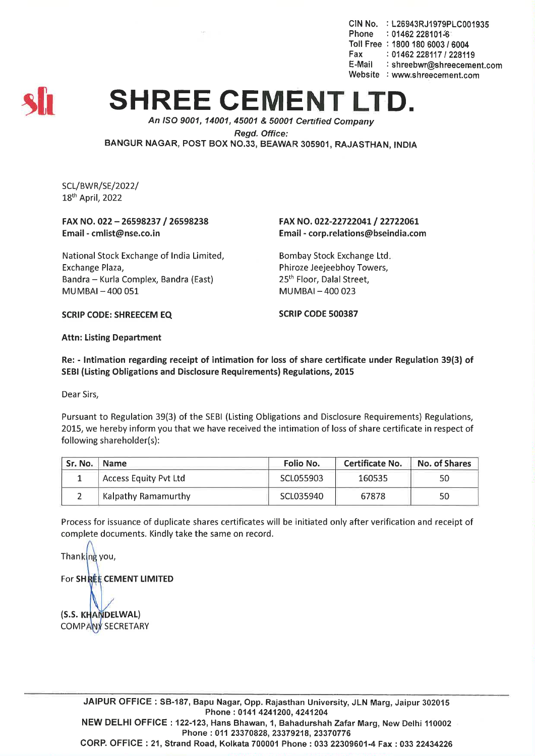CIN No. : L26943RJ1979PLC001935 Phone : 01462 228101-6 Toll Free: 1800 180 6003 / 6004 Fax: *01462228117/228119* : shreebwr@shreecement.com Website : www.shreecement.com



## **SHREE CEMENT L**

*An ISO 9001, 14001,45001* & *50001 Certitied Company Regd. Office:* BANGUR NAGAR, POST BOX NO.33, BEAWAR 305901, RAJASTHAN, INDIA

SCL/BWR/SE/2022/ 18th April, 2022

## FAX NO. 022 - 26598237 / 26598238 Email-cmlist@nse.co.in

National Stock Exchange of India Limited, Exchange Plaza, Bandra - Kurla Complex, Bandra (East)  $MUMBAI - 400051$ 

## FAX NO. 022-22722041 / 22722061 Email-corp.relations@bseindia.com

Bombay Stock Exchange Ltd. Phiroze Jeejeebhoy Towers, 25<sup>th</sup> Floor, Dalal Street, MUMBAI-400 023

SCRIP CODE: SHREECEM EQ SCRIP CODE 500387

Attn: Listing Department

Re: - Intimation regarding receipt of intimation for loss of share certificate under Regulation 39(3) of SEBI (Listing Obligations and Disclosure Requirements) Regulations, 2015

Dear Sirs,

Pursuant to Regulation 39(3) of the SEBI (Listing Obligations and Disclosure Requirements) Regulations, 2015, we hereby inform you that we have received the intimation of loss of share certificate in respect of following shareholder(s):

| Sr. No. | <b>Name</b>                  | Folio No. | <b>Certificate No.</b> | No. of Shares |  |
|---------|------------------------------|-----------|------------------------|---------------|--|
|         | <b>Access Equity Pvt Ltd</b> | SCL055903 | 160535                 | 50            |  |
|         | Kalpathy Ramamurthy          | SCL035940 | 67878                  | 50            |  |

Process for issuance of duplicate shares certificates will be initiated only after verification and receipt of complete documents. Kindly take the same on record.

Thanking you, For SHREE CEMENT LIMITED (S.S. KHANDELWAL)

COMPANY SECRETARY

JAIPUR OFFICE: SB-187, Bapu Nagar, Opp. Rajasthan University, JLN Marg, Jaipur 302015 Phone: 0141 4241200, 4241204 NEW DELHI OFFICE: 122-123, Hans Bhawan, 1, Bahadurshah Zafar Marg, New Delhi 110002 Phone: 011 23370828, 23379218, 23370776 CORP. OFFICE: 21, Strand Road, Kolkata 700001 Phone: 033 22309601-4 Fax: 033 22434226